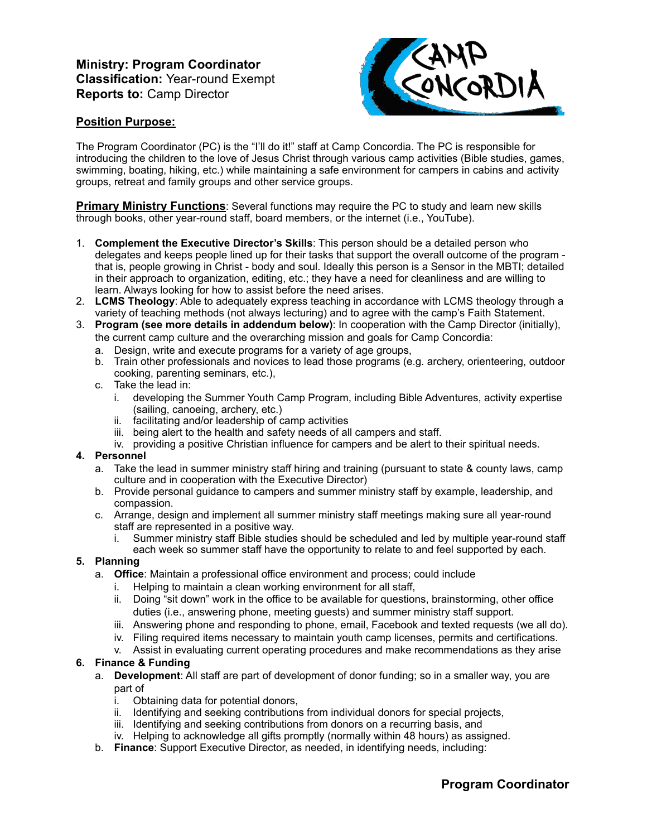## **Ministry: Program Coordinator Classification:** Year-round Exempt **Reports to:** Camp Director



## **Position Purpose:**

The Program Coordinator (PC) is the "I'll do it!" staff at Camp Concordia. The PC is responsible for introducing the children to the love of Jesus Christ through various camp activities (Bible studies, games, swimming, boating, hiking, etc.) while maintaining a safe environment for campers in cabins and activity groups, retreat and family groups and other service groups.

**Primary Ministry Functions**: Several functions may require the PC to study and learn new skills through books, other year-round staff, board members, or the internet (i.e., YouTube).

- 1. **Complement the Executive Director's Skills**: This person should be a detailed person who delegates and keeps people lined up for their tasks that support the overall outcome of the program that is, people growing in Christ - body and soul. Ideally this person is a Sensor in the MBTI; detailed in their approach to organization, editing, etc.; they have a need for cleanliness and are willing to learn. Always looking for how to assist before the need arises.
- 2. **LCMS Theology**: Able to adequately express teaching in accordance with LCMS theology through a variety of teaching methods (not always lecturing) and to agree with the camp's Faith Statement.
- 3. **Program (see more details in addendum below)**: In cooperation with the Camp Director (initially), the current camp culture and the overarching mission and goals for Camp Concordia:
	- a. Design, write and execute programs for a variety of age groups,
	- b. Train other professionals and novices to lead those programs (e.g. archery, orienteering, outdoor cooking, parenting seminars, etc.),
	- c. Take the lead in:
		- i. developing the Summer Youth Camp Program, including Bible Adventures, activity expertise (sailing, canoeing, archery, etc.)
		- ii. facilitating and/or leadership of camp activities
		- iii. being alert to the health and safety needs of all campers and staff.
		- iv. providing a positive Christian influence for campers and be alert to their spiritual needs.

#### **4. Personnel**

- a. Take the lead in summer ministry staff hiring and training (pursuant to state & county laws, camp culture and in cooperation with the Executive Director)
- b. Provide personal guidance to campers and summer ministry staff by example, leadership, and compassion.
- c. Arrange, design and implement all summer ministry staff meetings making sure all year-round staff are represented in a positive way.
	- i. Summer ministry staff Bible studies should be scheduled and led by multiple year-round staff each week so summer staff have the opportunity to relate to and feel supported by each.

## **5. Planning**

- a. **Office**: Maintain a professional office environment and process; could include
	- i. Helping to maintain a clean working environment for all staff,
	- ii. Doing "sit down" work in the office to be available for questions, brainstorming, other office duties (i.e., answering phone, meeting guests) and summer ministry staff support.
	- iii. Answering phone and responding to phone, email, Facebook and texted requests (we all do).
	- iv. Filing required items necessary to maintain youth camp licenses, permits and certifications.
	- v. Assist in evaluating current operating procedures and make recommendations as they arise

## **6. Finance & Funding**

- a. **Development**: All staff are part of development of donor funding; so in a smaller way, you are part of
	-
	- i. Obtaining data for potential donors,<br>ii. Identifying and seeking contributions Identifying and seeking contributions from individual donors for special projects,
	- iii. Identifying and seeking contributions from donors on a recurring basis, and
	- iv. Helping to acknowledge all gifts promptly (normally within 48 hours) as assigned.
- b. **Finance**: Support Executive Director, as needed, in identifying needs, including: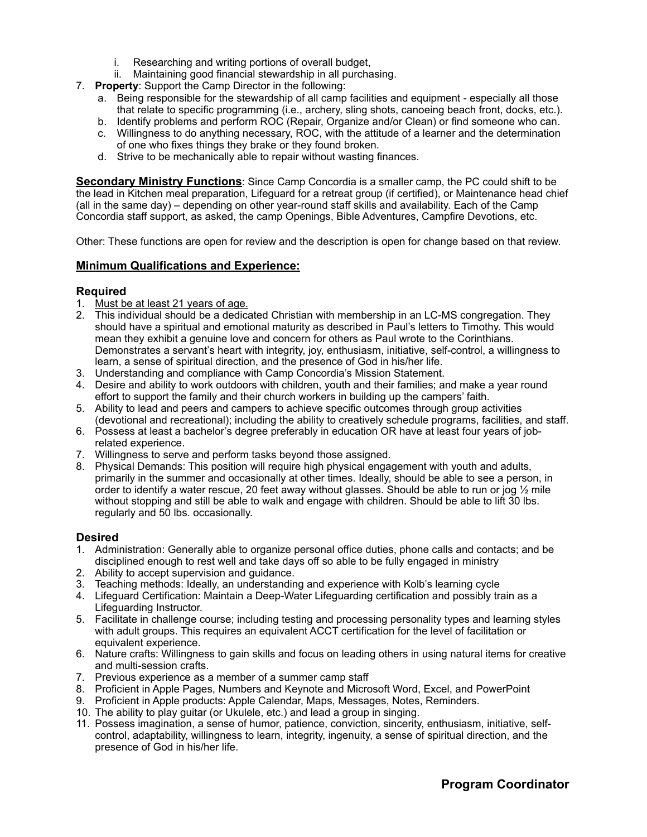- i. Researching and writing portions of overall budget,
- ii. Maintaining good financial stewardship in all purchasing.
- 7. **Property**: Support the Camp Director in the following:
	- a. Being responsible for the stewardship of all camp facilities and equipment especially all those that relate to specific programming (i.e., archery, sling shots, canoeing beach front, docks, etc.).
	- b. Identify problems and perform ROC (Repair, Organize and/or Clean) or find someone who can.
	- c. Willingness to do anything necessary, ROC, with the attitude of a learner and the determination of one who fixes things they brake or they found broken.
	- d. Strive to be mechanically able to repair without wasting finances.

**Secondary Ministry Functions**: Since Camp Concordia is a smaller camp, the PC could shift to be the lead in Kitchen meal preparation, Lifeguard for a retreat group (if certified), or Maintenance head chief (all in the same day) – depending on other year-round staff skills and availability. Each of the Camp Concordia staff support, as asked, the camp Openings, Bible Adventures, Campfire Devotions, etc.

Other: These functions are open for review and the description is open for change based on that review.

## **Minimum Qualifications and Experience:**

## **Required**

- 1. Must be at least 21 years of age.
- 2. This individual should be a dedicated Christian with membership in an LC-MS congregation. They should have a spiritual and emotional maturity as described in Paul's letters to Timothy. This would mean they exhibit a genuine love and concern for others as Paul wrote to the Corinthians. Demonstrates a servant's heart with integrity, joy, enthusiasm, initiative, self-control, a willingness to learn, a sense of spiritual direction, and the presence of God in his/her life.
- 3. Understanding and compliance with Camp Concordia's Mission Statement.
- 4. Desire and ability to work outdoors with children, youth and their families; and make a year round effort to support the family and their church workers in building up the campers' faith.
- 5. Ability to lead and peers and campers to achieve specific outcomes through group activities (devotional and recreational); including the ability to creatively schedule programs, facilities, and staff.
- 6. Possess at least a bachelor's degree preferably in education OR have at least four years of jobrelated experience.
- 7. Willingness to serve and perform tasks beyond those assigned.
- 8. Physical Demands: This position will require high physical engagement with youth and adults, primarily in the summer and occasionally at other times. Ideally, should be able to see a person, in order to identify a water rescue, 20 feet away without glasses. Should be able to run or jog ½ mile without stopping and still be able to walk and engage with children. Should be able to lift 30 lbs. regularly and 50 lbs. occasionally.

#### **Desired**

- 1. Administration: Generally able to organize personal office duties, phone calls and contacts; and be disciplined enough to rest well and take days off so able to be fully engaged in ministry
- 2. Ability to accept supervision and guidance.
- 3. Teaching methods: Ideally, an understanding and experience with Kolb's learning cycle
- 4. Lifeguard Certification: Maintain a Deep-Water Lifeguarding certification and possibly train as a Lifeguarding Instructor.
- 5. Facilitate in challenge course; including testing and processing personality types and learning styles with adult groups. This requires an equivalent ACCT certification for the level of facilitation or equivalent experience.
- 6. Nature crafts: Willingness to gain skills and focus on leading others in using natural items for creative and multi-session crafts.
- 7. Previous experience as a member of a summer camp staff
- 8. Proficient in Apple Pages, Numbers and Keynote and Microsoft Word, Excel, and PowerPoint
- 9. Proficient in Apple products: Apple Calendar, Maps, Messages, Notes, Reminders.
- 10. The ability to play guitar (or Ukulele, etc.) and lead a group in singing.
- 11. Possess imagination, a sense of humor, patience, conviction, sincerity, enthusiasm, initiative, selfcontrol, adaptability, willingness to learn, integrity, ingenuity, a sense of spiritual direction, and the presence of God in his/her life.